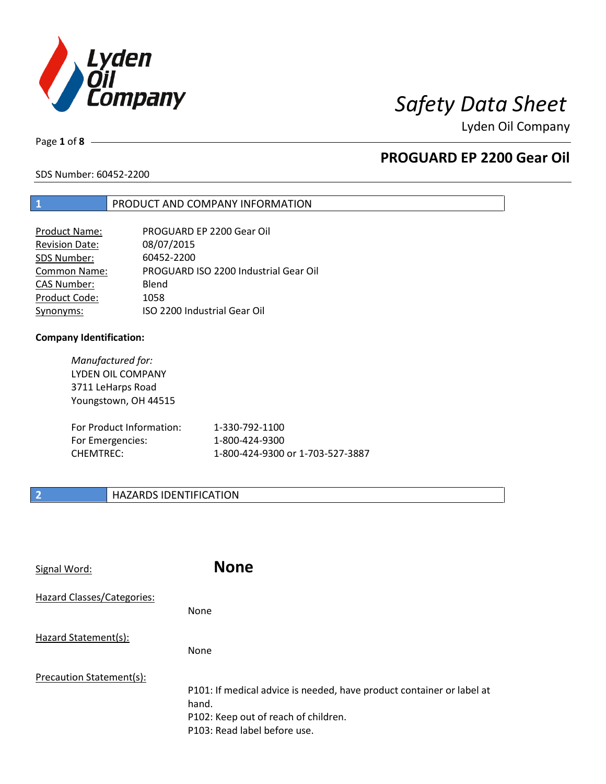

# *Safety Data Sheet*

Lyden Oil Company

Page **1** of **8**

# **PROGUARD EP 2200 Gear Oil**

SDS Number: 60452-2200

## **1** PRODUCT AND COMPANY INFORMATION

| <b>Product Name:</b>  | PROGUARD EP 2200 Gear Oil             |
|-----------------------|---------------------------------------|
| <b>Revision Date:</b> | 08/07/2015                            |
| SDS Number:           | 60452-2200                            |
| <b>Common Name:</b>   | PROGUARD ISO 2200 Industrial Gear Oil |
| <b>CAS Number:</b>    | Blend                                 |
| Product Code:         | 1058                                  |
| Synonyms:             | ISO 2200 Industrial Gear Oil          |

### **Company Identification:**

| Manufactured for:<br><b>LYDEN OIL COMPANY</b><br>3711 LeHarps Road<br>Youngstown, OH 44515 |                                  |
|--------------------------------------------------------------------------------------------|----------------------------------|
| For Product Information:                                                                   | 1-330-792-1100                   |
| For Emergencies:                                                                           | 1-800-424-9300                   |
| CHFMTRFC:                                                                                  | 1-800-424-9300 or 1-703-527-3887 |

## **2 HAZARDS IDENTIFICATION**

| Signal Word:               | <b>None</b>                                                                                                                                            |
|----------------------------|--------------------------------------------------------------------------------------------------------------------------------------------------------|
| Hazard Classes/Categories: | None                                                                                                                                                   |
| Hazard Statement(s):       | None                                                                                                                                                   |
| Precaution Statement(s):   | P101: If medical advice is needed, have product container or label at<br>hand.<br>P102: Keep out of reach of children.<br>P103: Read label before use. |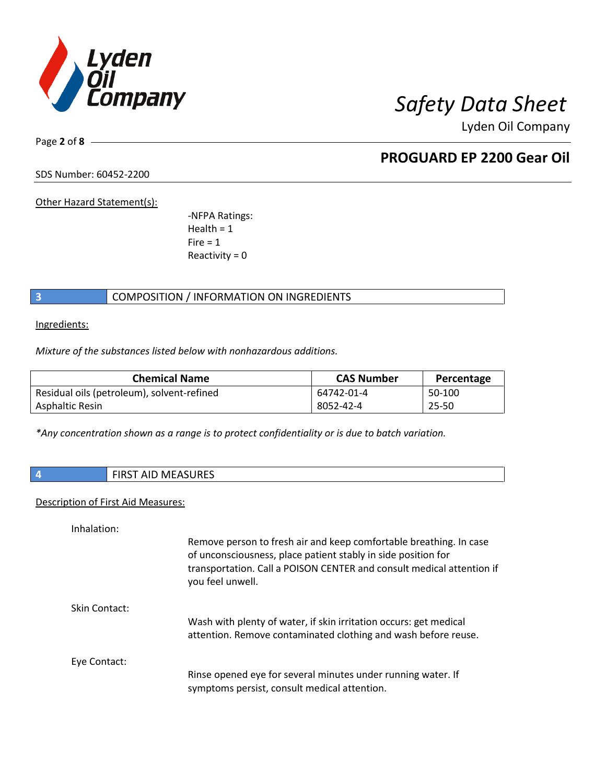

Page **2** of **8**

## **PROGUARD EP 2200 Gear Oil**

SDS Number: 60452-2200

Other Hazard Statement(s):

-NFPA Ratings:  $Health = 1$  $Fire = 1$ Reactivity  $= 0$ 

## **3** COMPOSITION / INFORMATION ON INGREDIENTS

Ingredients:

*Mixture of the substances listed below with nonhazardous additions.*

| <b>Chemical Name</b>                       | <b>CAS Number</b> | Percentage |
|--------------------------------------------|-------------------|------------|
| Residual oils (petroleum), solvent-refined | 64742-01-4        | 50-100     |
| Asphaltic Resin                            | 8052-42-4         | 25-50      |

*\*Any concentration shown as a range is to protect confidentiality or is due to batch variation.*

|  |  | <b>FIRST AID MEASURES</b> |
|--|--|---------------------------|
|--|--|---------------------------|

## Description of First Aid Measures:

Inhalation:

|               | Remove person to fresh air and keep comfortable breathing. In case<br>of unconsciousness, place patient stably in side position for<br>transportation. Call a POISON CENTER and consult medical attention if<br>you feel unwell. |
|---------------|----------------------------------------------------------------------------------------------------------------------------------------------------------------------------------------------------------------------------------|
| Skin Contact: |                                                                                                                                                                                                                                  |
|               | Wash with plenty of water, if skin irritation occurs: get medical<br>attention. Remove contaminated clothing and wash before reuse.                                                                                              |
| Eye Contact:  |                                                                                                                                                                                                                                  |
|               | Rinse opened eye for several minutes under running water. If<br>symptoms persist, consult medical attention.                                                                                                                     |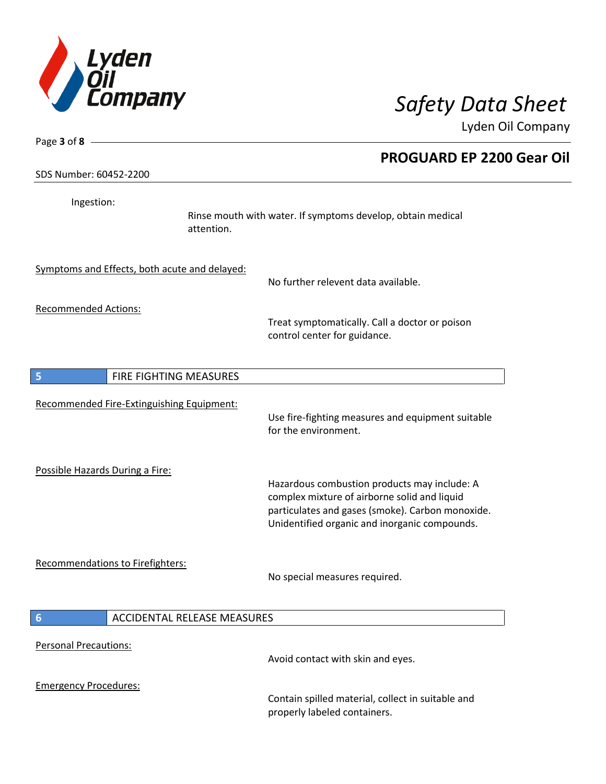

| Page 3 of $8 -$                               |                                                                                                                                                                                                   |
|-----------------------------------------------|---------------------------------------------------------------------------------------------------------------------------------------------------------------------------------------------------|
|                                               | <b>PROGUARD EP 2200 Gear Oil</b>                                                                                                                                                                  |
| SDS Number: 60452-2200                        |                                                                                                                                                                                                   |
| Ingestion:<br>attention.                      | Rinse mouth with water. If symptoms develop, obtain medical                                                                                                                                       |
| Symptoms and Effects, both acute and delayed: | No further relevent data available.                                                                                                                                                               |
| <b>Recommended Actions:</b>                   | Treat symptomatically. Call a doctor or poison<br>control center for guidance.                                                                                                                    |
| FIRE FIGHTING MEASURES<br>5                   |                                                                                                                                                                                                   |
| Recommended Fire-Extinguishing Equipment:     | Use fire-fighting measures and equipment suitable<br>for the environment.                                                                                                                         |
| Possible Hazards During a Fire:               | Hazardous combustion products may include: A<br>complex mixture of airborne solid and liquid<br>particulates and gases (smoke). Carbon monoxide.<br>Unidentified organic and inorganic compounds. |
| Recommendations to Firefighters:              | No special measures required.                                                                                                                                                                     |
| 6<br><b>ACCIDENTAL RELEASE MEASURES</b>       |                                                                                                                                                                                                   |
| <b>Personal Precautions:</b>                  | Avoid contact with skin and eyes.                                                                                                                                                                 |
| <b>Emergency Procedures:</b>                  | Contain spilled material, collect in suitable and<br>properly labeled containers.                                                                                                                 |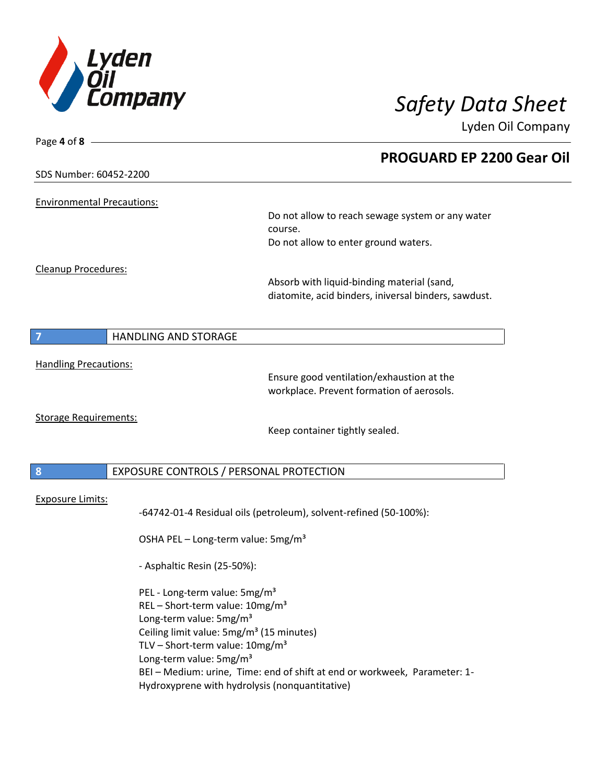

| Page 4 of $8 -$                                      |                                                                         |
|------------------------------------------------------|-------------------------------------------------------------------------|
| SDS Number: 60452-2200                               | <b>PROGUARD EP 2200 Gear Oil</b>                                        |
| <b>Environmental Precautions:</b>                    |                                                                         |
|                                                      | Do not allow to reach sewage system or any water<br>course.             |
|                                                      | Do not allow to enter ground waters.                                    |
| Cleanup Procedures:                                  |                                                                         |
|                                                      | Absorb with liquid-binding material (sand,                              |
|                                                      | diatomite, acid binders, iniversal binders, sawdust.                    |
| $\overline{7}$<br><b>HANDLING AND STORAGE</b>        |                                                                         |
| <b>Handling Precautions:</b>                         |                                                                         |
|                                                      | Ensure good ventilation/exhaustion at the                               |
|                                                      | workplace. Prevent formation of aerosols.                               |
| <b>Storage Requirements:</b>                         | Keep container tightly sealed.                                          |
| 8<br>EXPOSURE CONTROLS / PERSONAL PROTECTION         |                                                                         |
|                                                      |                                                                         |
| <b>Exposure Limits:</b>                              | -64742-01-4 Residual oils (petroleum), solvent-refined (50-100%):       |
| OSHA PEL - Long-term value: 5mg/m <sup>3</sup>       |                                                                         |
| - Asphaltic Resin (25-50%):                          |                                                                         |
| PEL - Long-term value: 5mg/m <sup>3</sup>            |                                                                         |
| REL-Short-term value: 10mg/m <sup>3</sup>            |                                                                         |
| Long-term value: 5mg/m <sup>3</sup>                  |                                                                         |
| Ceiling limit value: 5mg/m <sup>3</sup> (15 minutes) |                                                                         |
| TLV – Short-term value: $10mg/m^3$                   |                                                                         |
| Long-term value: 5mg/m <sup>3</sup>                  |                                                                         |
|                                                      | BEI-Medium: urine, Time: end of shift at end or workweek, Parameter: 1- |
|                                                      | Hydroxyprene with hydrolysis (nonquantitative)                          |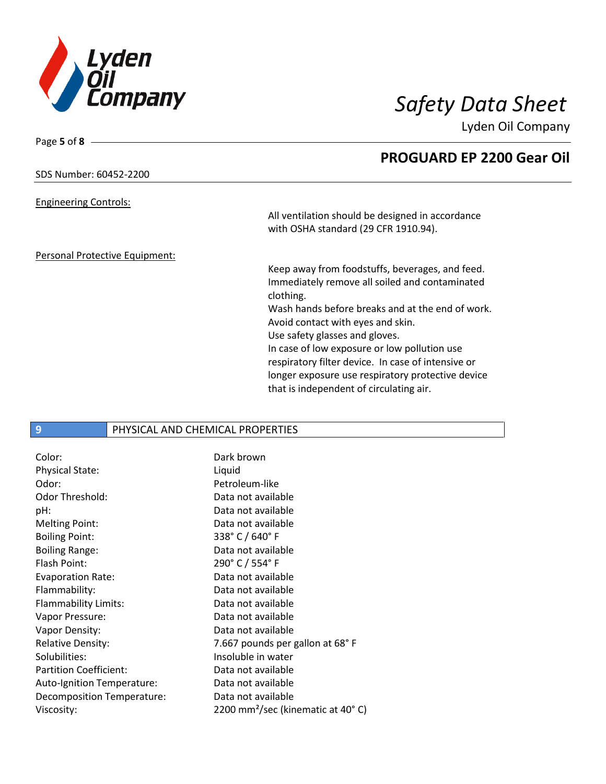

Page **5** of **8**

Lyden Oil Company

|                                | <b>PROGUARD EP 2200 Gear Oil</b>                   |
|--------------------------------|----------------------------------------------------|
| SDS Number: 60452-2200         |                                                    |
| <b>Engineering Controls:</b>   |                                                    |
|                                | All ventilation should be designed in accordance   |
|                                | with OSHA standard (29 CFR 1910.94).               |
| Personal Protective Equipment: |                                                    |
|                                | Keep away from foodstuffs, beverages, and feed.    |
|                                | Immediately remove all soiled and contaminated     |
|                                | clothing.                                          |
|                                | Wash hands before breaks and at the end of work.   |
|                                | Avoid contact with eyes and skin.                  |
|                                | Use safety glasses and gloves.                     |
|                                | In case of low exposure or low pollution use       |
|                                | respiratory filter device. In case of intensive or |
|                                | longer exposure use respiratory protective device  |
|                                | that is independent of circulating air.            |

## **9** PHYSICAL AND CHEMICAL PROPERTIES

| Color:                        | Dark brown                                               |
|-------------------------------|----------------------------------------------------------|
| <b>Physical State:</b>        | Liquid                                                   |
| Odor:                         | Petroleum-like                                           |
| <b>Odor Threshold:</b>        | Data not available                                       |
| pH:                           | Data not available                                       |
| <b>Melting Point:</b>         | Data not available                                       |
| <b>Boiling Point:</b>         | 338° C / 640° F                                          |
| <b>Boiling Range:</b>         | Data not available                                       |
| <b>Flash Point:</b>           | 290° C / 554° F                                          |
| Evaporation Rate:             | Data not available                                       |
| Flammability:                 | Data not available                                       |
| Flammability Limits:          | Data not available                                       |
| Vapor Pressure:               | Data not available                                       |
| Vapor Density:                | Data not available                                       |
| <b>Relative Density:</b>      | 7.667 pounds per gallon at 68°F                          |
| Solubilities:                 | Insoluble in water                                       |
| <b>Partition Coefficient:</b> | Data not available                                       |
| Auto-Ignition Temperature:    | Data not available                                       |
| Decomposition Temperature:    | Data not available                                       |
| Viscosity:                    | 2200 mm <sup>2</sup> /sec (kinematic at 40 $^{\circ}$ C) |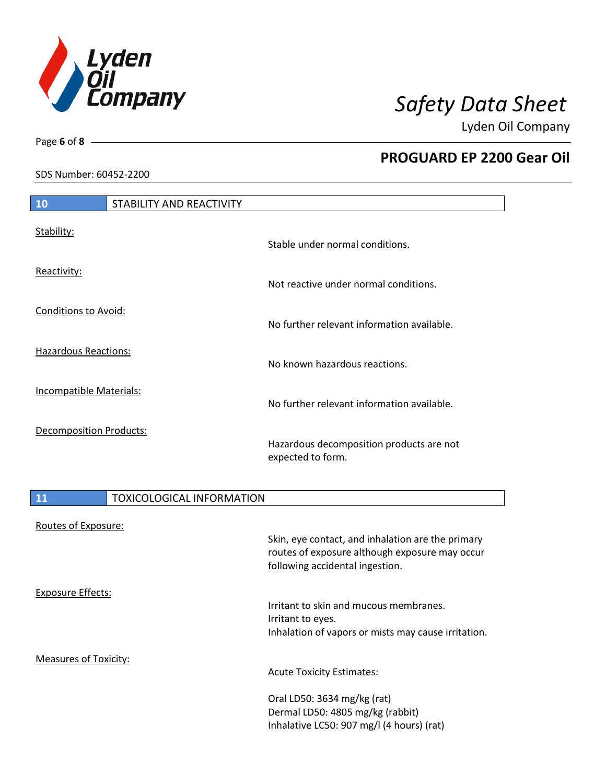

**PROGUARD EP 2200 Gear Oil**

Lyden Oil Company

SDS Number: 60452-2200

# **10** STABILITY AND REACTIVITY Stable under normal conditions.

Not reactive under normal conditions.

No further relevant information available.

No known hazardous reactions.

No further relevant information available.

Hazardous decomposition products are not expected to form.

Inhalative LC50: 907 mg/l (4 hours) (rat)

# 11 **TOXICOLOGICAL INFORMATION** Routes of Exposure: Skin, eye contact, and inhalation are the primary routes of exposure although exposure may occur following accidental ingestion. Exposure Effects: Irritant to skin and mucous membranes. Irritant to eyes. Inhalation of vapors or mists may cause irritation. Measures of Toxicity: Acute Toxicity Estimates: Oral LD50: 3634 mg/kg (rat) Dermal LD50: 4805 mg/kg (rabbit)

Page **6** of **8**

Stability:

Reactivity:

Conditions to Avoid:

Hazardous Reactions:

Incompatible Materials:

Decomposition Products: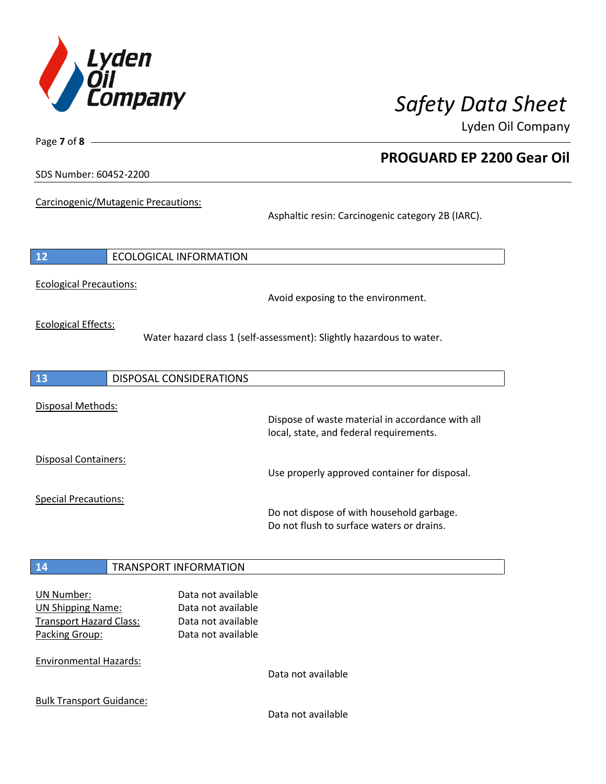

**PROGUARD EP 2200 Gear Oil**

Lyden Oil Company

SDS Number: 60452-2200

Page **7** of **8**

Carcinogenic/Mutagenic Precautions:

Asphaltic resin: Carcinogenic category 2B (IARC).

| Avoid exposing to the environment.                                                          |
|---------------------------------------------------------------------------------------------|
| Water hazard class 1 (self-assessment): Slightly hazardous to water.                        |
|                                                                                             |
| Dispose of waste material in accordance with all<br>local, state, and federal requirements. |
| Use properly approved container for disposal.                                               |
| Do not dispose of with household garbage.<br>Do not flush to surface waters or drains.      |
|                                                                                             |
| Data not available                                                                          |
|                                                                                             |

Bulk Transport Guidance: